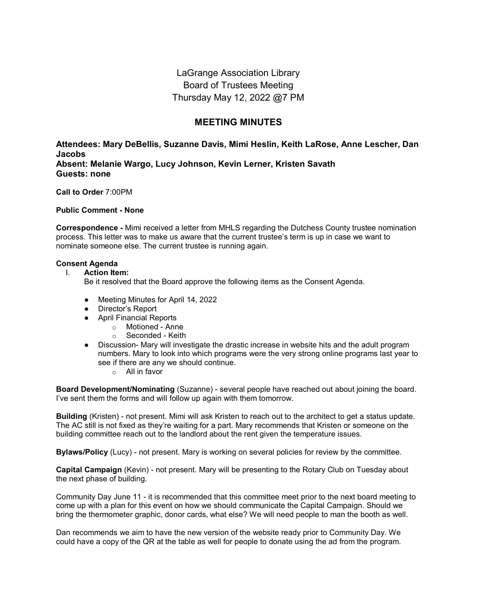LaGrange Association Library Board of Trustees Meeting Thursday May 12, 2022 @7 PM

# **MEETING MINUTES**

**Attendees: Mary DeBellis, Suzanne Davis, Mimi Heslin, Keith LaRose, Anne Lescher, Dan Jacobs Absent: Melanie Wargo, Lucy Johnson, Kevin Lerner, Kristen Savath Guests: none**

**Call to Order** 7:00PM

**Public Comment - None**

**Correspondence -** Mimi received a letter from MHLS regarding the Dutchess County trustee nomination process. This letter was to make us aware that the current trustee's term is up in case we want to nominate someone else. The current trustee is running again.

### **Consent Agenda**

#### I. **Action Item:**

Be it resolved that the Board approve the following items as the Consent Agenda.

- Meeting Minutes for April 14, 2022
- Director's Report
- April Financial Reports
	- o Motioned Anne
	- o Seconded Keith
- Discussion- Mary will investigate the drastic increase in website hits and the adult program numbers. Mary to look into which programs were the very strong online programs last year to see if there are any we should continue.
	- o All in favor

**Board Development/Nominating** (Suzanne) - several people have reached out about joining the board. I've sent them the forms and will follow up again with them tomorrow.

**Building** (Kristen) - not present. Mimi will ask Kristen to reach out to the architect to get a status update. The AC still is not fixed as they're waiting for a part. Mary recommends that Kristen or someone on the building committee reach out to the landlord about the rent given the temperature issues.

**Bylaws/Policy** (Lucy) - not present. Mary is working on several policies for review by the committee.

**Capital Campaign** (Kevin) - not present. Mary will be presenting to the Rotary Club on Tuesday about the next phase of building.

Community Day June 11 - it is recommended that this committee meet prior to the next board meeting to come up with a plan for this event on how we should communicate the Capital Campaign. Should we bring the thermometer graphic, donor cards, what else? We will need people to man the booth as well.

Dan recommends we aim to have the new version of the website ready prior to Community Day. We could have a copy of the QR at the table as well for people to donate using the ad from the program.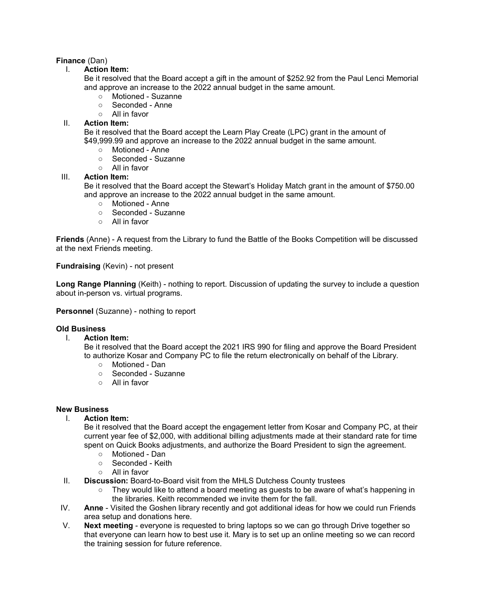## **Finance** (Dan)

## I. **Action Item:**

Be it resolved that the Board accept a gift in the amount of \$252.92 from the Paul Lenci Memorial and approve an increase to the 2022 annual budget in the same amount.

- Motioned Suzanne
- Seconded Anne
- All in favor

## II. **Action Item:**

Be it resolved that the Board accept the Learn Play Create (LPC) grant in the amount of \$49,999.99 and approve an increase to the 2022 annual budget in the same amount.

- Motioned Anne<br>○ Seconded Suza
- Seconded Suzanne
- All in favor

### III. **Action Item:**

Be it resolved that the Board accept the Stewart's Holiday Match grant in the amount of \$750.00 and approve an increase to the 2022 annual budget in the same amount.

- Motioned Anne
- Seconded Suzanne
- All in favor

**Friends** (Anne) - A request from the Library to fund the Battle of the Books Competition will be discussed at the next Friends meeting.

**Fundraising** (Kevin) - not present

**Long Range Planning** (Keith) - nothing to report. Discussion of updating the survey to include a question about in-person vs. virtual programs.

**Personnel** (Suzanne) - nothing to report

### **Old Business**

### I. **Action Item:**

Be it resolved that the Board accept the 2021 IRS 990 for filing and approve the Board President to authorize Kosar and Company PC to file the return electronically on behalf of the Library.

- Motioned Dan
- Seconded Suzanne
- All in favor

### **New Business**

### I. **Action Item:**

Be it resolved that the Board accept the engagement letter from Kosar and Company PC, at their current year fee of \$2,000, with additional billing adjustments made at their standard rate for time spent on Quick Books adjustments, and authorize the Board President to sign the agreement.

- Motioned Dan
- Seconded Keith
- All in favor
- II. **Discussion:** Board-to-Board visit from the MHLS Dutchess County trustees
	- They would like to attend a board meeting as guests to be aware of what's happening in the libraries. Keith recommended we invite them for the fall.
- IV. **Anne**  Visited the Goshen library recently and got additional ideas for how we could run Friends area setup and donations here.
- V. **Next meeting**  everyone is requested to bring laptops so we can go through Drive together so that everyone can learn how to best use it. Mary is to set up an online meeting so we can record the training session for future reference.